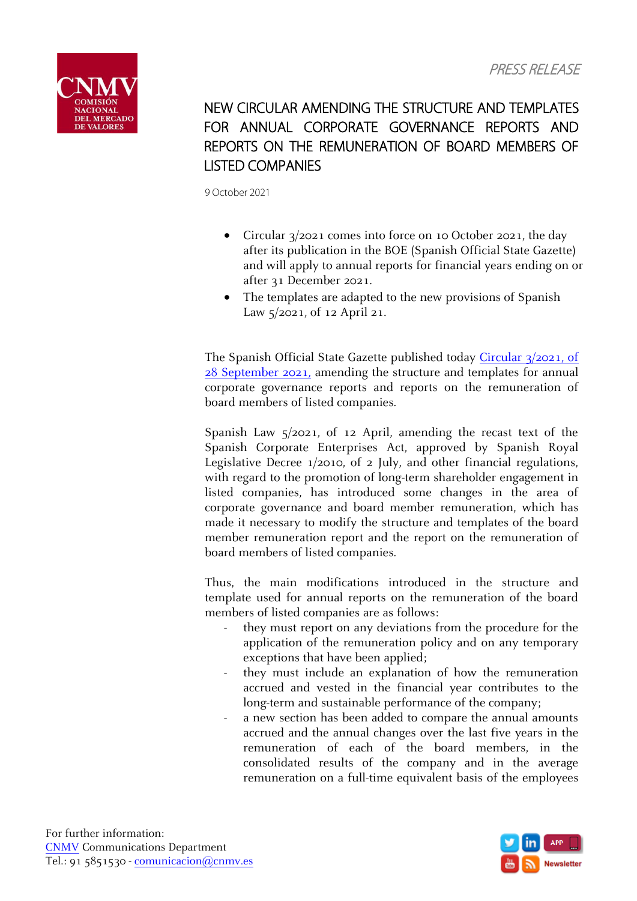

## NEW CIRCULAR AMENDING THE STRUCTURE AND TEMPLATES FOR ANNUAL CORPORATE GOVERNANCE REPORTS AND REPORTS ON THE REMUNERATION OF BOARD MEMBERS OF LISTED COMPANIES

9 October 2021

- Circular 3/2021 comes into force on 10 October 2021, the day after its publication in the BOE (Spanish Official State Gazette) and will apply to annual reports for financial years ending on or after 31 December 2021.
- The templates are adapted to the new provisions of Spanish Law 5/2021, of 12 April 21.

The Spanish Official State Gazette published today [Circular 3/2021, of](https://www.boe.es/boe/dias/2021/10/09/pdfs/BOE-A-2021-16391.pdf)  [28 September 2021,](https://www.boe.es/boe/dias/2021/10/09/pdfs/BOE-A-2021-16391.pdf) amending the structure and templates for annual corporate governance reports and reports on the remuneration of board members of listed companies.

Spanish Law 5/2021, of 12 April, amending the recast text of the Spanish Corporate Enterprises Act, approved by Spanish Royal Legislative Decree 1/2010, of 2 July, and other financial regulations, with regard to the promotion of long-term shareholder engagement in listed companies, has introduced some changes in the area of corporate governance and board member remuneration, which has made it necessary to modify the structure and templates of the board member remuneration report and the report on the remuneration of board members of listed companies.

Thus, the main modifications introduced in the structure and template used for annual reports on the remuneration of the board members of listed companies are as follows:

- they must report on any deviations from the procedure for the application of the remuneration policy and on any temporary exceptions that have been applied;
- they must include an explanation of how the remuneration accrued and vested in the financial year contributes to the long-term and sustainable performance of the company;
- a new section has been added to compare the annual amounts accrued and the annual changes over the last five years in the remuneration of each of the board members, in the consolidated results of the company and in the average remuneration on a full-time equivalent basis of the employees